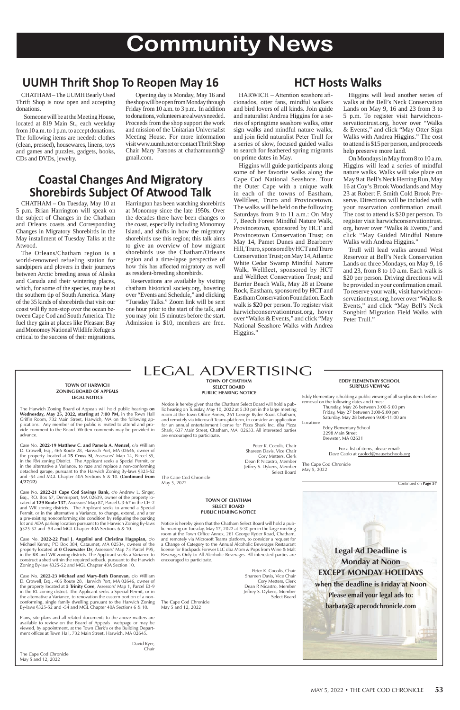### MAY 5, 2022 • THE CAPE COD CHRONICLE **53**

### LEGAL ADVERTISING

### **TOWN OF CHATHAM SELECT BOARD PUBLIC HEARING NOTICE**

Notice is hereby given that the Chatham Select Board will hold a public hearing on Tuesday, May 10, 2022 at 5:30 pm in the large meeting room at the Town Office Annex, 261 George Ryder Road, Chatham, and remotely via Microsoft Teams platform, to consider an application for an annual entertainment license for Pizza Shark Inc. dba Pizza Shark, 637 Main Street, Chatham, MA 02633. All interested parties are encouraged to participate.

> Peter K. Cocolis, Chair Shareen Davis, Vice Chair Cory Metters, Clerk Dean P. Nicastro, Member Jeffrey S. Dykens, Member Select Board

The Cape Cod Chronicle May 5, 2022

> **TOWN OF CHATHAM SELECT BOARD PUBLIC HEARING NOTICE**

For a list of items, please email: Dave Caolo at caolod@nausetschools.org

Notice is hereby given that the Chatham Select Board will hold a public hearing on Tuesday, May 17, 2022 at 5:30 pm in the large meeting room at the Town Office Annex, 261 George Ryder Road, Chatham, and remotely via Microsoft Teams platform, to consider a request for a Change of Category to the Annual Alcoholic Beverages Restaurant license for Backpack Forever LLC dba Mom & Pops from Wine & Malt Beverages Only to All Alcoholic Beverages. All interested parties are encouraged to participate.

> Peter K. Cocolis, Chair Shareen Davis, Vice Chair Cory Metters, Clerk Dean P. Nicastro, Member Jeffrey S. Dykens, Member Select Board

The Cape Cod Chronicle May 5 and 12, 2022

**EDDY ELEMENTARY SCHOOL SURPLUS VIEWING**

Eddy Elementary is holding a public viewing of all surplus items before removal on the following dates and times:

lot and ADA parking location pursuant to the Harwich Zoning By-laws §325-52 and -54 and MGL Chapter 40A Sections 6 & 10.

Thursday, May 26 between 3:00-5:00 pm Friday, May 27 between 3:00-5:00 pm Saturday, May 28 between 9:00-11:00 am

Location: Eddy Elementary School 2298 Main Street Brewster, MA 02631

The Cape Cod Chronicle May 5, 2022

#### **TOWN OF HARWICH ZONING BOARD OF APPEALS LEGAL NOTICE**

The Harwich Zoning Board of Appeals will hold public hearings **on Wednesday, May 25, 2022, starting at 7:00 PM,** in the Town Hall Griffin Room, 732 Main Street, Harwich, MA on the following applications. Any member of the public is invited to attend and provide comment to the Board. Written comments may be provided in advance.

> David Ryer, **Chair**

Case No. **2022-19 Matthew C. and Pamela A. Menzel,** c/o William D. Crowell, Esq., 466 Route 28, Harwich Port, MA 02646, owner of the property located at **25 Cross St**, Assessors' Map 14, Parcel S5, in the RM zoning District. The Applicant seeks a Special Permit, or in the alternative a Variance, to raze and replace a non-conforming detached garage, pursuant to the Harwich Zoning By-laws §325-52 and -54 and MGL Chapter 40A Sections 6 & 10. **(Continued from 4/27/22)**

Case No. **2022-21 Cape Cod Savings Bank,** c/o Andrew L. Singer, Esq., P.O. Box 67, Dennisport, MA 02639, owner of the property located at **129 Route 137**, Assessors' Map 87, Parcel U3-67 in the CH-2 and WR zoning districts. The Applicant seeks to amend a Special Permit, or in the alternative a Variance, to change, extend, and alter a pre-existing nonconforming site condition by refiguring the parking

Case No. **2022-22 Paul J. Angelini and Christina Hagopian,** c/o Michael Kenny, PO Box 384, Cataumet, MA 02534, owners of the property located at **0 Clearwater Dr**, Assessors' Map 73 Parcel P95, in the RR and WR zoning districts. The Applicant seeks a Variance to construct a shed within the required setback, pursuant to the Harwich Zoning By-law §325-52 and MGL Chapter 40A Section 10.

HARWICH – Attention seashore aficionados, otter fans, mindful walkers and bird lovers of all kinds. Join guide and naturalist Andrea Higgins for a series of springtime seashore walks, otter sign walks and mindful nature walks, and join field naturalist Peter Trull for a series of slow, focused guided walks to search for feathered spring migrants on prime dates in May.

Case No. **2022-23 Michael and Mary-Beth Donovan,** c/o William D. Crowell, Esq., 466 Route 28, Harwich Port, MA 02646, owner of the property located at **5 Trinity Cove**, Assessors' Map 1, Parcel E3-9 in the RL zoning district. The Applicant seeks a Special Permit, or in the alternative a Variance, to renovation the eastern portion of a nonconforming, single family dwelling pursuant to the Harwich Zoning By-laws §325-52 and -54 and MGL Chapter 40A Sections 6 & 10.

Plans, site plans and all related documents to the above matters are available to review on the **Board of Appeals** webpage or may be viewed, by appointment, at the Town Clerk's or the Building Department offices at Town Hall, 732 Main Street, Harwich, MA 02645.

The Cape Cod Chronicle May 5 and 12, 2022

Continued on **Page 57**

**Legal Ad Deadline is Monday at Noon EXCEPT MONDAY HOLIDAYS when the deadline is Friday at Noon Please email your legal ads to: barbara@capecodchronicle.com**

### **Coastal Changes And Migratory Shorebirds Subject Of Atwood Talk**

 CHATHAM – On Tuesday, May 10 at 5 p.m. Brian Harrington will speak on the subject of Changes in the Chatham and Orleans coasts and Corresponding Changes in Migratory Shorebirds in the May installment of Tuesday Talks at the Atwood.

 The Orleans/Chatham region is a world-renowned refueling station for sandpipers and plovers in their journeys between Arctic breeding areas of Alaska and Canada and their wintering places, which, for some of the species, may be at the southern tip of South America. Many of the 35 kinds of shorebirds that visit our coast will fly non-stop over the ocean between Cape Cod and South America. The fuel they gain at places like Pleasant Bay and Monomoy National Wildlife Refuge is critical to the success of their migrations.

Harrington has been watching shorebirds at Monomoy since the late 1950s. Over the decades there have been changes to the coast, especially including Monomoy Island, and shifts in how the migratory shorebirds use this region; this talk aims to give an overview of how migrant shorebirds use the Chatham/Orleans region and a time-lapse perspective of how this has affected migratory as well as resident-breeding shorebirds.

 Reservations are available by visiting chatham historical society.org, hovering over "Events and Schedule," and clicking "Tuesday Talks." Zoom link will be sent one hour prior to the start of the talk, and you may join 15 minutes before the start. Admission is \$10, members are free.

 CHATHAM – The UUMH Bearly Used Thrift Shop is now open and accepting donations.

 Someone will be at the Meeting House, located at 819 Main St., each weekday from 10 a.m. to 1 p.m. to accept donations. The following items are needed: clothes (clean, pressed), housewares, linens, toys and games and puzzles, gadgets, books, CDs and DVDs, jewelry.

 Opening day is Monday, May 16 and the shop will be open from Monday through Friday from 10 a.m. to 3 p.m. In addition to donations, volunteers are always needed. Proceeds from the shop support the work and mission of the Unitarian Universalist Meeting House. For more information visit www.uumh.net or contact Thrift Shop Chair Mary Parsons at chathamuumh@ gmail.com.

# **Community News**

## **UUMH Thrift Shop To Reopen May 16**

### **HCT Hosts Walks**

 Higgins will guide participants along some of her favorite walks along the Cape Cod National Seashore. Tour the Outer Cape with a unique walk in each of the towns of Eastham, Wellfleet, Truro and Provincetown. The walks will be held on the following Saturdays from 9 to 11 a.m.: On May 7, Beech Forest Mindful Nature Walk, Provincetown, sponsored by HCT and Provincetown Conservation Trust; on May 14, Pamet Dunes and Bearberry Hill, Truro, sponsored by HCT and Truro Conservation Trust; on May 14, Atlantic White Cedar Swamp Mindful Nature Walk, Wellfleet, sponsored by HCT and Wellfleet Conservation Trust; and Barrier Beach Walk, May 28 at Doane Rock, Eastham, sponsored by HCT and Eastham Conservation Foundation. Each walk is \$20 per person. To register visit harwichconservationtrust.org, hover over "Walks & Events," and click "May National Seashore Walks with Andrea Higgins."

 Higgins will lead another series of walks at the Bell's Neck Conservation Lands on May 9, 16 and 23 from 3 to 5 p.m. To register visit harwichconservationtrust.org, hover over "Walks & Events," and click "May Otter Sign Walks with Andrea Higgins." The cost to attend is \$15 per person, and proceeds help preserve more land.

 On Mondays in May from 8 to 10 a.m. Higgins will lead a series of mindful nature walks. Walks will take place on May 9 at Bell's Neck Herring Run, May 16 at Coy's Brook Woodlands and May 23 at Robert F. Smith Cold Brook Preserve. Directions will be included with your reservation confirmation email. The cost to attend is \$20 per person. To register visit harwichconservationtrust. org, hover over "Walks & Events," and click "May Guided Mindful Nature Walks with Andrea Higgins."

 Trull will lead walks around West Reservoir at Bell's Neck Conservation Lands on three Mondays, on May 9, 16 and 23, from 8 to 10 a.m. Each walk is \$20 per person. Driving directions will be provided in your confirmation email. To reserve your walk, visit harwichconservationtrust.org, hover over "Walks & Events," and click "May Bell's Neck Songbird Migration Field Walks with Peter Trull."